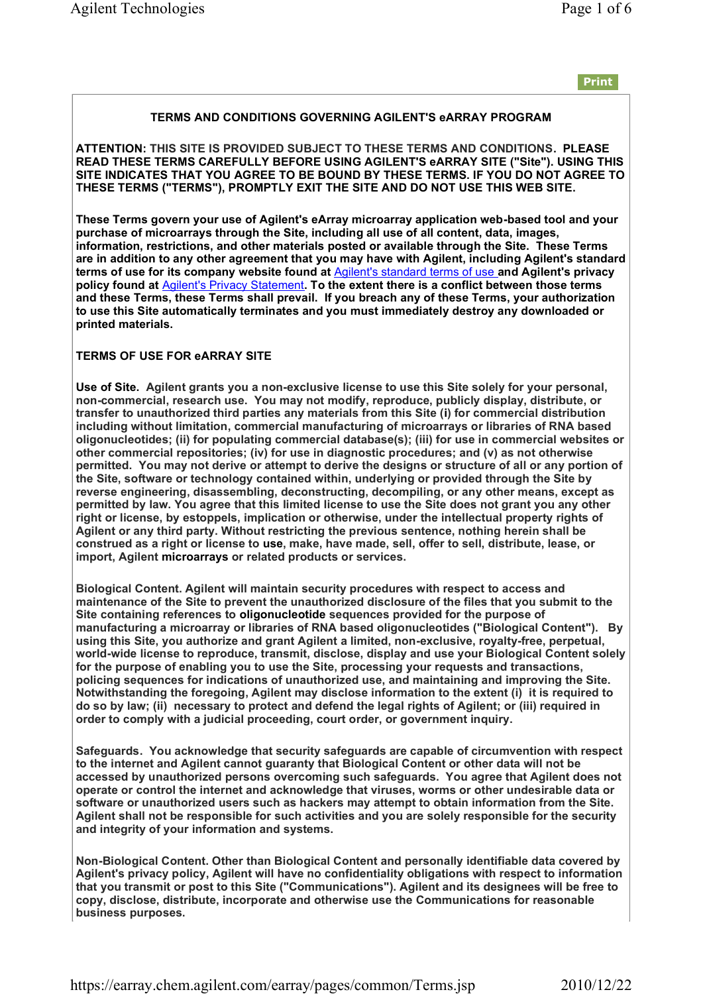### **TERMS AND CONDITIONS GOVERNING AGILENT'S eARRAY PROGRAM**

**ATTENTION: THIS SITE IS PROVIDED SUBJECT TO THESE TERMS AND CONDITIONS. PLEASE READ THESE TERMS CAREFULLY BEFORE USING AGILENT'S eARRAY SITE ("Site"). USING THIS SITE INDICATES THAT YOU AGREE TO BE BOUND BY THESE TERMS. IF YOU DO NOT AGREE TO THESE TERMS ("TERMS"), PROMPTLY EXIT THE SITE AND DO NOT USE THIS WEB SITE.** 

**These Terms govern your use of Agilent's eArray microarray application web-based tool and your purchase of microarrays through the Site, including all use of all content, data, images, information, restrictions, and other materials posted or available through the Site. These Terms are in addition to any other agreement that you may have with Agilent, including Agilent's standard terms of use for its company website found at** Agilent's standard terms of use **and Agilent's privacy policy found at** Agilent's Privacy Statement**. To the extent there is a conflict between those terms and these Terms, these Terms shall prevail. If you breach any of these Terms, your authorization to use this Site automatically terminates and you must immediately destroy any downloaded or printed materials.** 

### **TERMS OF USE FOR eARRAY SITE**

**Use of Site. Agilent grants you a non-exclusive license to use this Site solely for your personal, non-commercial, research use. You may not modify, reproduce, publicly display, distribute, or transfer to unauthorized third parties any materials from this Site (i) for commercial distribution including without limitation, commercial manufacturing of microarrays or libraries of RNA based oligonucleotides; (ii) for populating commercial database(s); (iii) for use in commercial websites or other commercial repositories; (iv) for use in diagnostic procedures; and (v) as not otherwise permitted. You may not derive or attempt to derive the designs or structure of all or any portion of the Site, software or technology contained within, underlying or provided through the Site by reverse engineering, disassembling, deconstructing, decompiling, or any other means, except as permitted by law. You agree that this limited license to use the Site does not grant you any other right or license, by estoppels, implication or otherwise, under the intellectual property rights of Agilent or any third party. Without restricting the previous sentence, nothing herein shall be construed as a right or license to use, make, have made, sell, offer to sell, distribute, lease, or import, Agilent microarrays or related products or services.**

**Biological Content. Agilent will maintain security procedures with respect to access and maintenance of the Site to prevent the unauthorized disclosure of the files that you submit to the Site containing references to oligonucleotide sequences provided for the purpose of manufacturing a microarray or libraries of RNA based oligonucleotides ("Biological Content"). By using this Site, you authorize and grant Agilent a limited, non-exclusive, royalty-free, perpetual, world-wide license to reproduce, transmit, disclose, display and use your Biological Content solely for the purpose of enabling you to use the Site, processing your requests and transactions, policing sequences for indications of unauthorized use, and maintaining and improving the Site. Notwithstanding the foregoing, Agilent may disclose information to the extent (i) it is required to do so by law; (ii) necessary to protect and defend the legal rights of Agilent; or (iii) required in order to comply with a judicial proceeding, court order, or government inquiry.** 

**Safeguards. You acknowledge that security safeguards are capable of circumvention with respect to the internet and Agilent cannot guaranty that Biological Content or other data will not be accessed by unauthorized persons overcoming such safeguards. You agree that Agilent does not operate or control the internet and acknowledge that viruses, worms or other undesirable data or software or unauthorized users such as hackers may attempt to obtain information from the Site. Agilent shall not be responsible for such activities and you are solely responsible for the security and integrity of your information and systems.** 

**Non-Biological Content. Other than Biological Content and personally identifiable data covered by Agilent's privacy policy, Agilent will have no confidentiality obligations with respect to information that you transmit or post to this Site ("Communications"). Agilent and its designees will be free to copy, disclose, distribute, incorporate and otherwise use the Communications for reasonable business purposes.**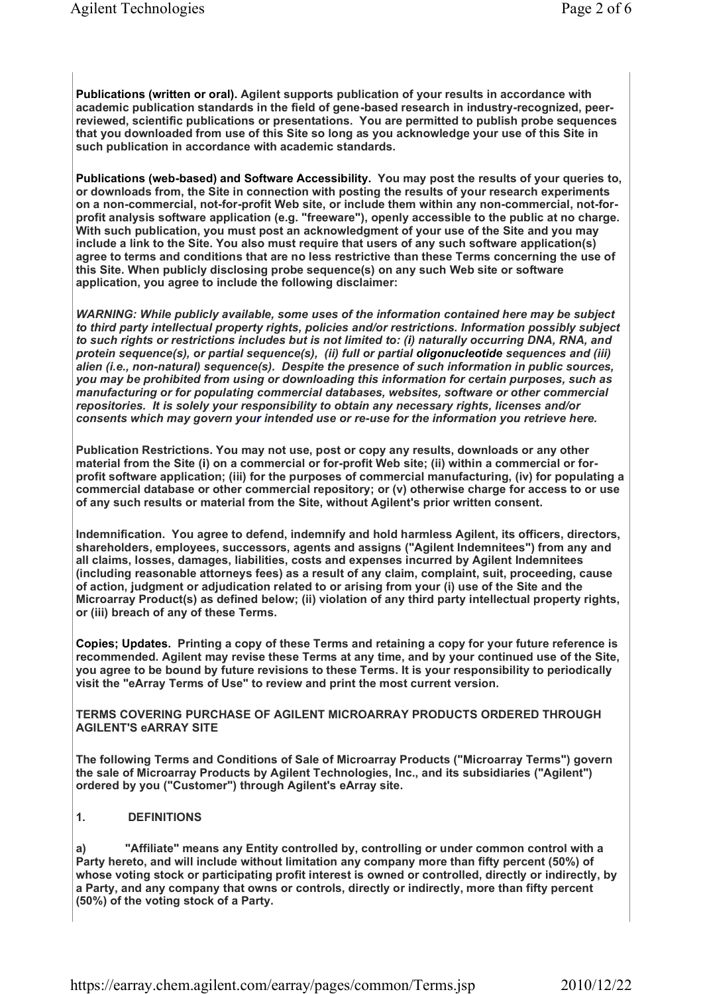**Publications (written or oral). Agilent supports publication of your results in accordance with academic publication standards in the field of gene-based research in industry-recognized, peerreviewed, scientific publications or presentations. You are permitted to publish probe sequences that you downloaded from use of this Site so long as you acknowledge your use of this Site in such publication in accordance with academic standards.** 

**Publications (web-based) and Software Accessibility. You may post the results of your queries to, or downloads from, the Site in connection with posting the results of your research experiments on a non-commercial, not-for-profit Web site, or include them within any non-commercial, not-forprofit analysis software application (e.g. "freeware"), openly accessible to the public at no charge. With such publication, you must post an acknowledgment of your use of the Site and you may include a link to the Site. You also must require that users of any such software application(s) agree to terms and conditions that are no less restrictive than these Terms concerning the use of this Site. When publicly disclosing probe sequence(s) on any such Web site or software application, you agree to include the following disclaimer:**

*WARNING: While publicly available, some uses of the information contained here may be subject to third party intellectual property rights, policies and/or restrictions. Information possibly subject to such rights or restrictions includes but is not limited to: (i) naturally occurring DNA, RNA, and protein sequence(s), or partial sequence(s), (ii) full or partial oligonucleotide sequences and (iii) alien (i.e., non-natural) sequence(s). Despite the presence of such information in public sources, you may be prohibited from using or downloading this information for certain purposes, such as manufacturing or for populating commercial databases, websites, software or other commercial repositories. It is solely your responsibility to obtain any necessary rights, licenses and/or consents which may govern your intended use or re-use for the information you retrieve here.*

**Publication Restrictions. You may not use, post or copy any results, downloads or any other material from the Site (i) on a commercial or for-profit Web site; (ii) within a commercial or forprofit software application; (iii) for the purposes of commercial manufacturing, (iv) for populating a commercial database or other commercial repository; or (v) otherwise charge for access to or use of any such results or material from the Site, without Agilent's prior written consent.**

**Indemnification. You agree to defend, indemnify and hold harmless Agilent, its officers, directors, shareholders, employees, successors, agents and assigns ("Agilent Indemnitees") from any and all claims, losses, damages, liabilities, costs and expenses incurred by Agilent Indemnitees (including reasonable attorneys fees) as a result of any claim, complaint, suit, proceeding, cause of action, judgment or adjudication related to or arising from your (i) use of the Site and the Microarray Product(s) as defined below; (ii) violation of any third party intellectual property rights, or (iii) breach of any of these Terms.** 

**Copies; Updates. Printing a copy of these Terms and retaining a copy for your future reference is recommended. Agilent may revise these Terms at any time, and by your continued use of the Site, you agree to be bound by future revisions to these Terms. It is your responsibility to periodically visit the "eArray Terms of Use" to review and print the most current version.** 

**TERMS COVERING PURCHASE OF AGILENT MICROARRAY PRODUCTS ORDERED THROUGH AGILENT'S eARRAY SITE**

**The following Terms and Conditions of Sale of Microarray Products ("Microarray Terms") govern the sale of Microarray Products by Agilent Technologies, Inc., and its subsidiaries ("Agilent") ordered by you ("Customer") through Agilent's eArray site.** 

**1. DEFINITIONS**

**a) "Affiliate" means any Entity controlled by, controlling or under common control with a Party hereto, and will include without limitation any company more than fifty percent (50%) of whose voting stock or participating profit interest is owned or controlled, directly or indirectly, by a Party, and any company that owns or controls, directly or indirectly, more than fifty percent (50%) of the voting stock of a Party.** 

https://earray.chem.agilent.com/earray/pages/common/Terms.jsp 2010/12/22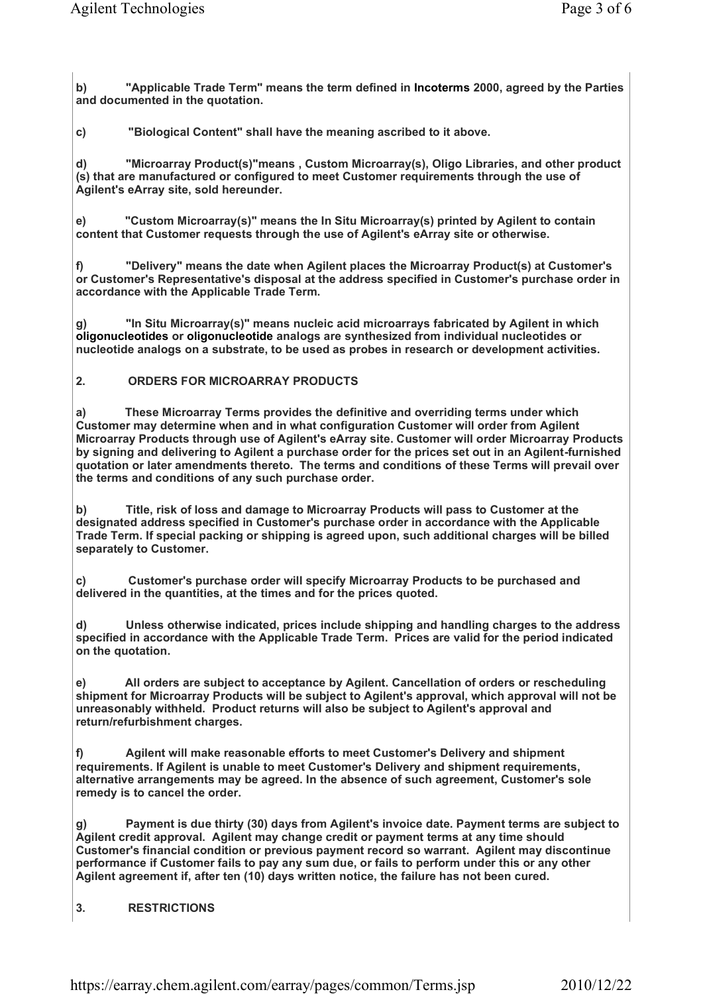**b) "Applicable Trade Term" means the term defined in Incoterms 2000, agreed by the Parties and documented in the quotation.** 

**c) "Biological Content" shall have the meaning ascribed to it above.**

**d) "Microarray Product(s)"means , Custom Microarray(s), Oligo Libraries, and other product (s) that are manufactured or configured to meet Customer requirements through the use of Agilent's eArray site, sold hereunder.**

**e) "Custom Microarray(s)" means the In Situ Microarray(s) printed by Agilent to contain content that Customer requests through the use of Agilent's eArray site or otherwise.**

**f) "Delivery" means the date when Agilent places the Microarray Product(s) at Customer's or Customer's Representative's disposal at the address specified in Customer's purchase order in accordance with the Applicable Trade Term.** 

**g) "In Situ Microarray(s)" means nucleic acid microarrays fabricated by Agilent in which oligonucleotides or oligonucleotide analogs are synthesized from individual nucleotides or nucleotide analogs on a substrate, to be used as probes in research or development activities.**

## **2. ORDERS FOR MICROARRAY PRODUCTS**

**a) These Microarray Terms provides the definitive and overriding terms under which Customer may determine when and in what configuration Customer will order from Agilent Microarray Products through use of Agilent's eArray site. Customer will order Microarray Products by signing and delivering to Agilent a purchase order for the prices set out in an Agilent-furnished quotation or later amendments thereto. The terms and conditions of these Terms will prevail over the terms and conditions of any such purchase order.**

**b) Title, risk of loss and damage to Microarray Products will pass to Customer at the designated address specified in Customer's purchase order in accordance with the Applicable Trade Term. If special packing or shipping is agreed upon, such additional charges will be billed separately to Customer.**

**c) Customer's purchase order will specify Microarray Products to be purchased and delivered in the quantities, at the times and for the prices quoted.** 

**d) Unless otherwise indicated, prices include shipping and handling charges to the address specified in accordance with the Applicable Trade Term. Prices are valid for the period indicated on the quotation.** 

**e) All orders are subject to acceptance by Agilent. Cancellation of orders or rescheduling shipment for Microarray Products will be subject to Agilent's approval, which approval will not be unreasonably withheld. Product returns will also be subject to Agilent's approval and return/refurbishment charges.**

**f) Agilent will make reasonable efforts to meet Customer's Delivery and shipment requirements. If Agilent is unable to meet Customer's Delivery and shipment requirements, alternative arrangements may be agreed. In the absence of such agreement, Customer's sole remedy is to cancel the order.**

**g) Payment is due thirty (30) days from Agilent's invoice date. Payment terms are subject to Agilent credit approval. Agilent may change credit or payment terms at any time should Customer's financial condition or previous payment record so warrant. Agilent may discontinue performance if Customer fails to pay any sum due, or fails to perform under this or any other Agilent agreement if, after ten (10) days written notice, the failure has not been cured.**

# **3. RESTRICTIONS**

https://earray.chem.agilent.com/earray/pages/common/Terms.jsp 2010/12/22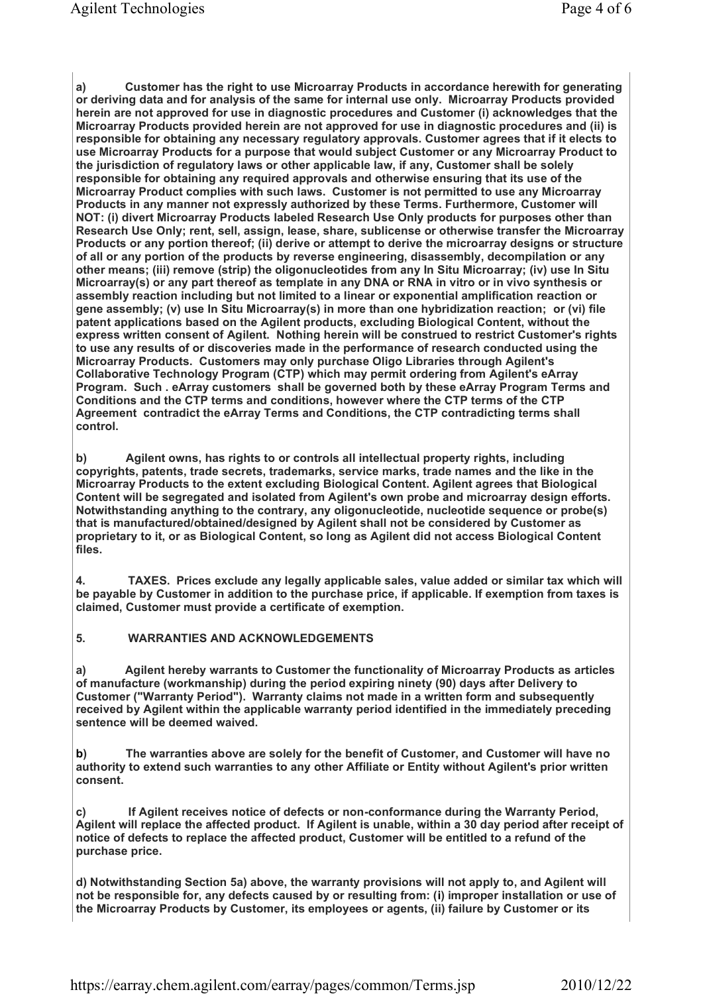**a) Customer has the right to use Microarray Products in accordance herewith for generating or deriving data and for analysis of the same for internal use only. Microarray Products provided herein are not approved for use in diagnostic procedures and Customer (i) acknowledges that the Microarray Products provided herein are not approved for use in diagnostic procedures and (ii) is responsible for obtaining any necessary regulatory approvals. Customer agrees that if it elects to use Microarray Products for a purpose that would subject Customer or any Microarray Product to the jurisdiction of regulatory laws or other applicable law, if any, Customer shall be solely responsible for obtaining any required approvals and otherwise ensuring that its use of the Microarray Product complies with such laws. Customer is not permitted to use any Microarray Products in any manner not expressly authorized by these Terms. Furthermore, Customer will NOT: (i) divert Microarray Products labeled Research Use Only products for purposes other than Research Use Only; rent, sell, assign, lease, share, sublicense or otherwise transfer the Microarray Products or any portion thereof; (ii) derive or attempt to derive the microarray designs or structure of all or any portion of the products by reverse engineering, disassembly, decompilation or any other means; (iii) remove (strip) the oligonucleotides from any In Situ Microarray; (iv) use In Situ Microarray(s) or any part thereof as template in any DNA or RNA in vitro or in vivo synthesis or assembly reaction including but not limited to a linear or exponential amplification reaction or gene assembly; (v) use In Situ Microarray(s) in more than one hybridization reaction; or (vi) file patent applications based on the Agilent products, excluding Biological Content, without the express written consent of Agilent. Nothing herein will be construed to restrict Customer's rights to use any results of or discoveries made in the performance of research conducted using the Microarray Products. Customers may only purchase Oligo Libraries through Agilent's Collaborative Technology Program (CTP) which may permit ordering from Agilent's eArray Program. Such . eArray customers shall be governed both by these eArray Program Terms and Conditions and the CTP terms and conditions, however where the CTP terms of the CTP Agreement contradict the eArray Terms and Conditions, the CTP contradicting terms shall control.** 

**b) Agilent owns, has rights to or controls all intellectual property rights, including copyrights, patents, trade secrets, trademarks, service marks, trade names and the like in the Microarray Products to the extent excluding Biological Content. Agilent agrees that Biological Content will be segregated and isolated from Agilent's own probe and microarray design efforts. Notwithstanding anything to the contrary, any oligonucleotide, nucleotide sequence or probe(s) that is manufactured/obtained/designed by Agilent shall not be considered by Customer as proprietary to it, or as Biological Content, so long as Agilent did not access Biological Content files.** 

**4. TAXES. Prices exclude any legally applicable sales, value added or similar tax which will be payable by Customer in addition to the purchase price, if applicable. If exemption from taxes is claimed, Customer must provide a certificate of exemption.** 

### **5. WARRANTIES AND ACKNOWLEDGEMENTS**

**a) Agilent hereby warrants to Customer the functionality of Microarray Products as articles of manufacture (workmanship) during the period expiring ninety (90) days after Delivery to Customer ("Warranty Period"). Warranty claims not made in a written form and subsequently received by Agilent within the applicable warranty period identified in the immediately preceding sentence will be deemed waived.**

**b) The warranties above are solely for the benefit of Customer, and Customer will have no authority to extend such warranties to any other Affiliate or Entity without Agilent's prior written consent.**

**c) If Agilent receives notice of defects or non-conformance during the Warranty Period, Agilent will replace the affected product. If Agilent is unable, within a 30 day period after receipt of notice of defects to replace the affected product, Customer will be entitled to a refund of the purchase price.** 

**d) Notwithstanding Section 5a) above, the warranty provisions will not apply to, and Agilent will not be responsible for, any defects caused by or resulting from: (i) improper installation or use of the Microarray Products by Customer, its employees or agents, (ii) failure by Customer or its** 

https://earray.chem.agilent.com/earray/pages/common/Terms.jsp 2010/12/22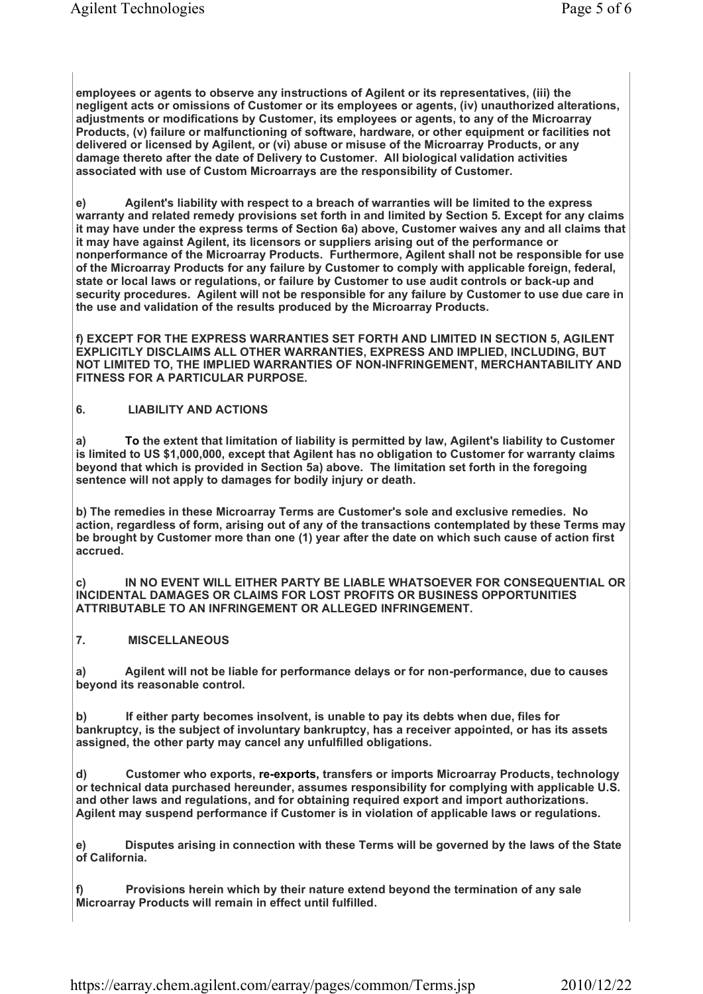**employees or agents to observe any instructions of Agilent or its representatives, (iii) the negligent acts or omissions of Customer or its employees or agents, (iv) unauthorized alterations, adjustments or modifications by Customer, its employees or agents, to any of the Microarray Products, (v) failure or malfunctioning of software, hardware, or other equipment or facilities not delivered or licensed by Agilent, or (vi) abuse or misuse of the Microarray Products, or any damage thereto after the date of Delivery to Customer. All biological validation activities associated with use of Custom Microarrays are the responsibility of Customer.**

**e) Agilent's liability with respect to a breach of warranties will be limited to the express warranty and related remedy provisions set forth in and limited by Section 5. Except for any claims it may have under the express terms of Section 6a) above, Customer waives any and all claims that it may have against Agilent, its licensors or suppliers arising out of the performance or nonperformance of the Microarray Products. Furthermore, Agilent shall not be responsible for use of the Microarray Products for any failure by Customer to comply with applicable foreign, federal, state or local laws or regulations, or failure by Customer to use audit controls or back-up and security procedures. Agilent will not be responsible for any failure by Customer to use due care in the use and validation of the results produced by the Microarray Products.** 

**f) EXCEPT FOR THE EXPRESS WARRANTIES SET FORTH AND LIMITED IN SECTION 5, AGILENT EXPLICITLY DISCLAIMS ALL OTHER WARRANTIES, EXPRESS AND IMPLIED, INCLUDING, BUT NOT LIMITED TO, THE IMPLIED WARRANTIES OF NON-INFRINGEMENT, MERCHANTABILITY AND FITNESS FOR A PARTICULAR PURPOSE.**

## **6. LIABILITY AND ACTIONS**

**a) To the extent that limitation of liability is permitted by law, Agilent's liability to Customer is limited to US \$1,000,000, except that Agilent has no obligation to Customer for warranty claims beyond that which is provided in Section 5a) above. The limitation set forth in the foregoing sentence will not apply to damages for bodily injury or death.**

**b) The remedies in these Microarray Terms are Customer's sole and exclusive remedies. No action, regardless of form, arising out of any of the transactions contemplated by these Terms may be brought by Customer more than one (1) year after the date on which such cause of action first accrued.**

**c) IN NO EVENT WILL EITHER PARTY BE LIABLE WHATSOEVER FOR CONSEQUENTIAL OR INCIDENTAL DAMAGES OR CLAIMS FOR LOST PROFITS OR BUSINESS OPPORTUNITIES ATTRIBUTABLE TO AN INFRINGEMENT OR ALLEGED INFRINGEMENT.** 

# **7. MISCELLANEOUS**

**a) Agilent will not be liable for performance delays or for non-performance, due to causes beyond its reasonable control.**

**b) If either party becomes insolvent, is unable to pay its debts when due, files for bankruptcy, is the subject of involuntary bankruptcy, has a receiver appointed, or has its assets assigned, the other party may cancel any unfulfilled obligations.** 

**d) Customer who exports, re-exports, transfers or imports Microarray Products, technology or technical data purchased hereunder, assumes responsibility for complying with applicable U.S. and other laws and regulations, and for obtaining required export and import authorizations. Agilent may suspend performance if Customer is in violation of applicable laws or regulations.** 

**e) Disputes arising in connection with these Terms will be governed by the laws of the State of California.**

**f) Provisions herein which by their nature extend beyond the termination of any sale Microarray Products will remain in effect until fulfilled.**